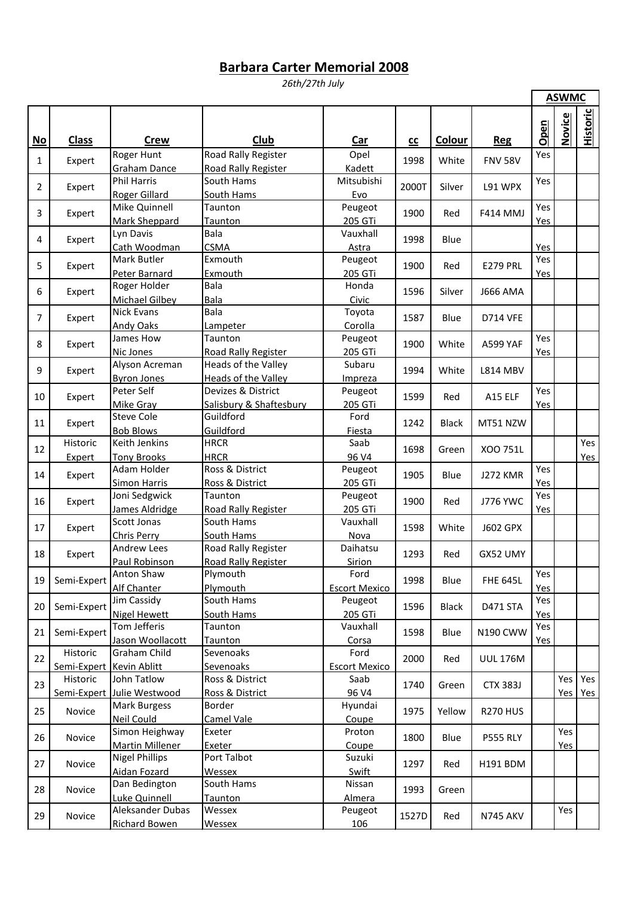## **Barbara Carter Memorial 2008**

*26th/27th July*

|                |                          |                            |                         |                      |              |              |                                    |            | <b>ASWMC</b>  |                 |
|----------------|--------------------------|----------------------------|-------------------------|----------------------|--------------|--------------|------------------------------------|------------|---------------|-----------------|
| $No$           | <b>Class</b>             | <b>Crew</b>                | Club                    | <b>Car</b>           | cc           | Colour       | <b>Reg</b>                         | Open       | <b>Novice</b> | <u>Historic</u> |
|                |                          | Roger Hunt                 | Road Rally Register     | Opel                 | 1998         |              |                                    | Yes        |               |                 |
| $\mathbf{1}$   | Expert                   | <b>Graham Dance</b>        | Road Rally Register     | Kadett               |              | White        | <b>FNV 58V</b>                     |            |               |                 |
|                | Expert                   | <b>Phil Harris</b>         | South Hams              | Mitsubishi           |              | Silver       | L91 WPX                            | Yes        |               |                 |
| 2              |                          | Roger Gillard              | South Hams              | Evo                  | 2000T        |              |                                    |            |               |                 |
|                | Expert                   | Mike Quinnell              | Taunton                 | Peugeot              |              | Red          | <b>F414 MMJ</b>                    | Yes<br>Yes |               |                 |
| 3              |                          | Mark Sheppard              | Taunton                 | 205 GTi              | 1900         |              |                                    |            |               |                 |
| 4              | Expert                   | Lyn Davis                  | Bala                    | Vauxhall             | 1998         | Blue         |                                    |            |               |                 |
|                |                          | Cath Woodman               | <b>CSMA</b>             | Astra                |              |              |                                    | Yes        |               |                 |
| 5              | Expert                   | <b>Mark Butler</b>         | Exmouth                 | Peugeot              | 1900         | Red          | <b>E279 PRL</b>                    | Yes        |               |                 |
|                |                          | Peter Barnard              | Exmouth                 | 205 GTi              |              |              |                                    | Yes        |               |                 |
| 6              | Expert                   | Roger Holder               | Bala                    | Honda                | 1596         | Silver       | <b>J666 AMA</b>                    |            |               |                 |
|                |                          | <b>Michael Gilbey</b>      | Bala                    | Civic                |              |              |                                    |            |               |                 |
| $\overline{7}$ | Expert                   | <b>Nick Evans</b>          | Bala                    | Toyota               | 1587         | Blue         | <b>D714 VFE</b><br><b>A599 YAF</b> |            |               |                 |
|                |                          | Andy Oaks                  | Lampeter                | Corolla              |              |              |                                    |            |               |                 |
| 8              | Expert                   | James How                  | Taunton                 | Peugeot              | 1900         | White        |                                    | Yes        |               |                 |
|                |                          | Nic Jones                  | Road Rally Register     | 205 GTi              |              |              |                                    | Yes        |               |                 |
| 9              | Expert                   | Alyson Acreman             | Heads of the Valley     | Subaru               | 1994         | White        | <b>L814 MBV</b>                    |            |               |                 |
|                |                          | <b>Byron Jones</b>         | Heads of the Valley     | Impreza              |              |              |                                    |            |               |                 |
| 10             | Expert                   | Peter Self                 | Devizes & District      | Peugeot              | 1599         | Red          | A15 ELF                            | Yes        |               |                 |
|                |                          | Mike Gray                  | Salisbury & Shaftesbury | 205 GTi              |              |              |                                    | Yes        |               |                 |
| 11             | Expert                   | <b>Steve Cole</b>          | Guildford               | Ford                 | 1242         | <b>Black</b> | MT51 NZW                           |            |               |                 |
|                |                          | <b>Bob Blows</b>           | Guildford               | Fiesta               |              |              |                                    |            |               |                 |
| 12             | <b>Historic</b>          | Keith Jenkins              | <b>HRCR</b>             | Saab                 | 1698         | Green        | XOO 751L                           |            |               | Yes             |
|                | Expert                   | <b>Tony Brooks</b>         | <b>HRCR</b>             | 96 V4                |              |              |                                    |            |               | Yes             |
| 14             | Expert                   | Adam Holder                | Ross & District         | Peugeot              | 1905<br>1900 | Blue<br>Red  | <b>J272 KMR</b><br>J776 YWC        | Yes        |               |                 |
|                |                          | Simon Harris               | Ross & District         | 205 GTi              |              |              |                                    | Yes        |               |                 |
| 16             | Expert                   | Joni Sedgwick              | Taunton                 | Peugeot              |              |              |                                    | Yes        |               |                 |
|                |                          | James Aldridge             | Road Rally Register     | 205 GTi              |              |              |                                    | Yes        |               |                 |
| 17             | Expert                   | Scott Jonas                | South Hams              | Vauxhall             | 1598         | White        | <b>J602 GPX</b>                    |            |               |                 |
|                |                          | Chris Perry                | South Hams              | Nova                 |              |              |                                    |            |               |                 |
| 18             | Expert                   | <b>Andrew Lees</b>         | Road Rally Register     | Daihatsu             | 1293         | Red          | GX52 UMY                           |            |               |                 |
|                |                          | Paul Robinson              | Road Rally Register     | Sirion               |              |              |                                    |            |               |                 |
| 19             | Semi-Expert              | Anton Shaw                 | Plymouth                | Ford                 | 1998         | Blue         | <b>FHE 645L</b>                    | Yes        |               |                 |
|                |                          | Alf Chanter                | Plymouth                | <b>Escort Mexico</b> |              |              |                                    | Yes        |               |                 |
| 20             | Semi-Expert              | Jim Cassidy                | South Hams              | Peugeot              | 1596         | <b>Black</b> | <b>D471 STA</b>                    | Yes        |               |                 |
|                |                          | <b>Nigel Hewett</b>        | South Hams              | 205 GTi              |              |              |                                    | Yes        |               |                 |
| 21             | Semi-Expert              | Tom Jefferis               | Taunton                 | Vauxhall             | 1598         | Blue         | <b>N190 CWW</b>                    | Yes        |               |                 |
|                |                          | Jason Woollacott           | Taunton                 | Corsa                |              |              |                                    | <b>Yes</b> |               |                 |
| 22             | Historic                 | Graham Child               | Sevenoaks               | Ford                 | 2000         | Red          | <b>UUL 176M</b>                    |            |               |                 |
|                | Semi-Expert Kevin Ablitt |                            | Sevenoaks               | <b>Escort Mexico</b> |              |              |                                    |            |               |                 |
| 23             | Historic                 | John Tatlow                | Ross & District         | Saab                 | 1740         | Green        | <b>CTX 383J</b>                    |            | Yes           | Yes             |
|                |                          | Semi-Expert Julie Westwood | Ross & District         | 96 V4                |              |              |                                    |            | Yes Yes       |                 |
| 25             | Novice                   | Mark Burgess               | Border                  | Hyundai              | 1975         | Yellow       | <b>R270 HUS</b>                    |            |               |                 |
|                |                          | Neil Could                 | Camel Vale              | Coupe                |              |              |                                    |            |               |                 |
| 26             | Novice<br>Novice         | Simon Heighway             | Exeter                  | Proton               | 1800<br>1297 | Blue<br>Red  | <b>P555 RLY</b><br>H191 BDM        |            | Yes           |                 |
|                |                          | Martin Millener            | Exeter                  | Coupe                |              |              |                                    |            | Yes           |                 |
| 27             |                          | <b>Nigel Phillips</b>      | Port Talbot             | Suzuki               |              |              |                                    |            |               |                 |
|                |                          | Aidan Fozard               | Wessex                  | Swift                |              |              |                                    |            |               |                 |
| 28             | Novice                   | Dan Bedington              | South Hams              | Nissan               | 1993         | Green        |                                    |            |               |                 |
|                |                          | Luke Quinnell              | Taunton                 | Almera               |              |              |                                    |            |               |                 |
| 29             | Novice                   | Aleksander Dubas           | Wessex                  | Peugeot              | 1527D        | Red          | <b>N745 AKV</b>                    |            | Yes           |                 |
|                |                          | <b>Richard Bowen</b>       | Wessex                  | 106                  |              |              |                                    |            |               |                 |